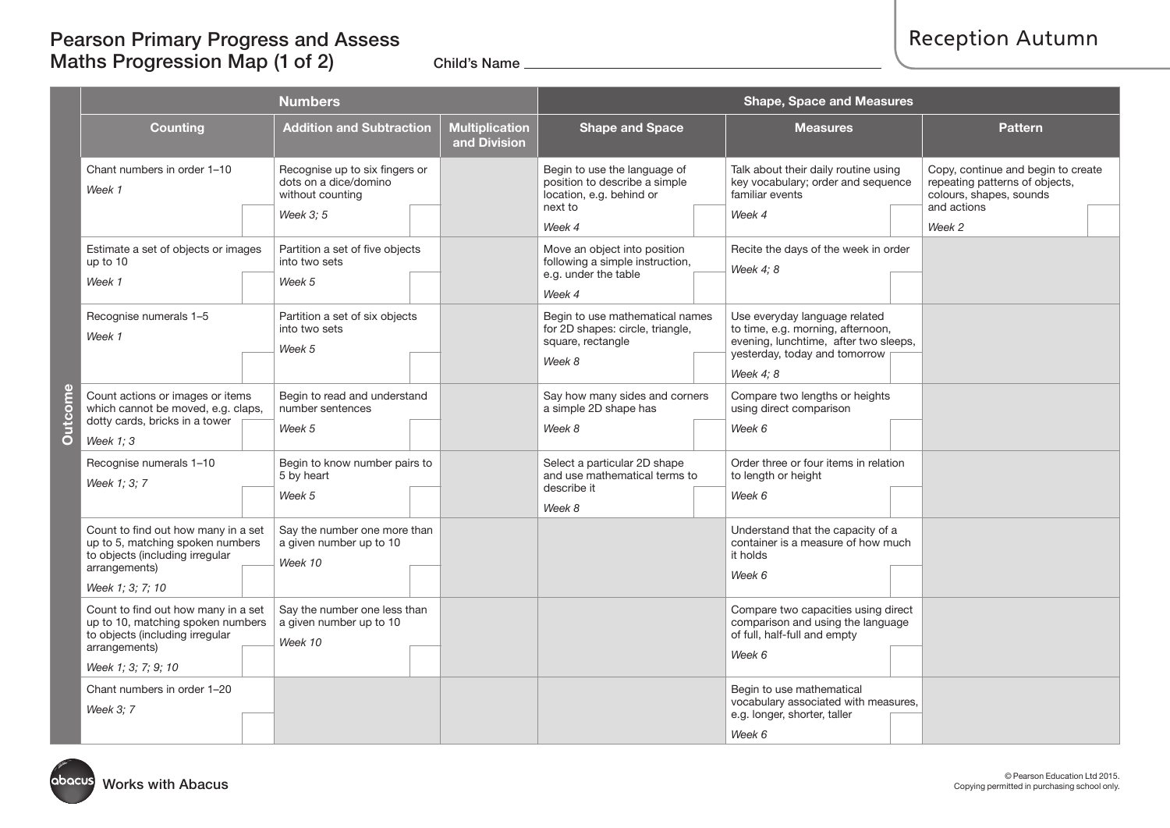# Pearson Primary Progress and Assess Maths Progression Map  $(1$  of 2) Child's Name

|                    |                                                                                                                                                     | <b>Numbers</b>                                                                          |  | <b>Shape, Space and Measures</b>                                                                               |                                                                                                                                                           |                                                                                                                          |  |  |  |
|--------------------|-----------------------------------------------------------------------------------------------------------------------------------------------------|-----------------------------------------------------------------------------------------|--|----------------------------------------------------------------------------------------------------------------|-----------------------------------------------------------------------------------------------------------------------------------------------------------|--------------------------------------------------------------------------------------------------------------------------|--|--|--|
| $\frac{1}{2}$<br>ā | <b>Counting</b>                                                                                                                                     | <b>Addition and Subtraction</b><br><b>Multiplication</b><br>and Division                |  | <b>Shape and Space</b>                                                                                         | <b>Measures</b>                                                                                                                                           | <b>Pattern</b>                                                                                                           |  |  |  |
|                    | Chant numbers in order 1-10<br>Week 1                                                                                                               | Recognise up to six fingers or<br>dots on a dice/domino<br>without counting<br>Week 3:5 |  | Begin to use the language of<br>position to describe a simple<br>location, e.g. behind or<br>next to<br>Week 4 | Talk about their daily routine using<br>key vocabulary; order and sequence<br>familiar events<br>Week 4                                                   | Copy, continue and begin to create<br>repeating patterns of objects,<br>colours, shapes, sounds<br>and actions<br>Week 2 |  |  |  |
|                    | Estimate a set of objects or images<br>up to 10<br>Week 1                                                                                           | Partition a set of five objects<br>into two sets<br>Week 5                              |  | Move an object into position<br>following a simple instruction,<br>e.g. under the table<br>Week 4              | Recite the days of the week in order<br>Week 4; 8                                                                                                         |                                                                                                                          |  |  |  |
|                    | Recognise numerals 1-5<br>Week 1                                                                                                                    | Partition a set of six objects<br>into two sets<br>Week 5                               |  | Begin to use mathematical names<br>for 2D shapes: circle, triangle,<br>square, rectangle<br>Week 8             | Use everyday language related<br>to time, e.g. morning, afternoon,<br>evening, lunchtime, after two sleeps,<br>yesterday, today and tomorrow<br>Week 4: 8 |                                                                                                                          |  |  |  |
|                    | Count actions or images or items<br>which cannot be moved, e.g. claps,<br>dotty cards, bricks in a tower<br>Week $1:3$                              | Begin to read and understand<br>number sentences<br>Week 5                              |  | Say how many sides and corners<br>a simple 2D shape has<br>Week 8                                              | Compare two lengths or heights<br>using direct comparison<br>Week 6                                                                                       |                                                                                                                          |  |  |  |
|                    | Recognise numerals 1-10<br>Week 1: 3: 7                                                                                                             | Begin to know number pairs to<br>5 by heart<br>Week 5                                   |  | Select a particular 2D shape<br>and use mathematical terms to<br>describe it<br>Week 8                         | Order three or four items in relation<br>to length or height<br>Week 6                                                                                    |                                                                                                                          |  |  |  |
|                    | Count to find out how many in a set<br>up to 5, matching spoken numbers<br>to objects (including irregular<br>arrangements)<br>Week 1; 3; 7; 10     | Say the number one more than<br>a given number up to 10<br>Week 10                      |  |                                                                                                                | Understand that the capacity of a<br>container is a measure of how much<br>it holds<br>Week 6                                                             |                                                                                                                          |  |  |  |
|                    | Count to find out how many in a set<br>up to 10, matching spoken numbers<br>to objects (including irregular<br>arrangements)<br>Week 1; 3; 7; 9; 10 | Say the number one less than<br>a given number up to 10<br>Week 10                      |  |                                                                                                                | Compare two capacities using direct<br>comparison and using the language<br>of full, half-full and empty<br>Week 6                                        |                                                                                                                          |  |  |  |
|                    | Chant numbers in order 1-20<br>Week 3: 7                                                                                                            |                                                                                         |  |                                                                                                                | Begin to use mathematical<br>vocabulary associated with measures,<br>e.g. longer, shorter, taller<br>Week 6                                               |                                                                                                                          |  |  |  |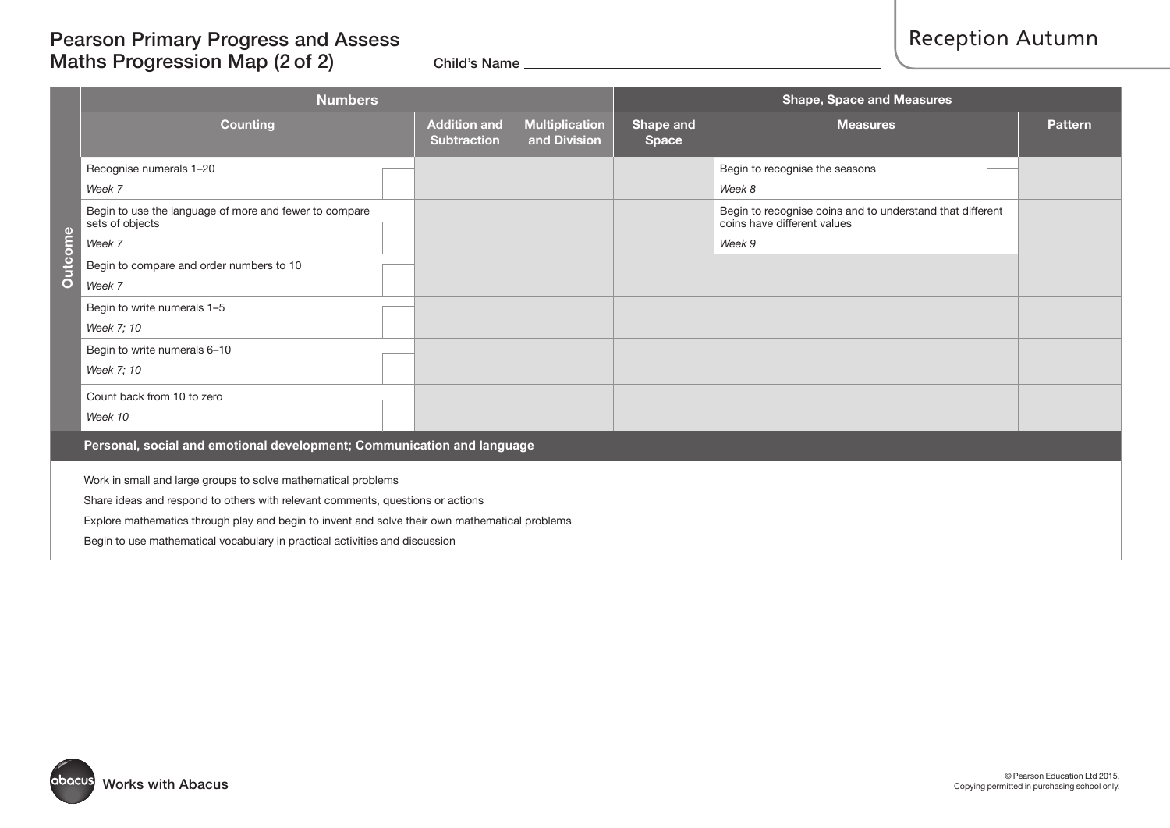## Pearson Primary Progress and Assess Maths Progression Map  $(2 of 2)$  Child's Name

|                                                                        | <b>Numbers</b>                                                                                                                                                                                                                                                                                                                   |                                           | <b>Shape, Space and Measures</b>      |                           |                                                                                                    |                |  |  |  |
|------------------------------------------------------------------------|----------------------------------------------------------------------------------------------------------------------------------------------------------------------------------------------------------------------------------------------------------------------------------------------------------------------------------|-------------------------------------------|---------------------------------------|---------------------------|----------------------------------------------------------------------------------------------------|----------------|--|--|--|
|                                                                        | Counting                                                                                                                                                                                                                                                                                                                         | <b>Addition and</b><br><b>Subtraction</b> | <b>Multiplication</b><br>and Division | Shape and<br><b>Space</b> | <b>Measures</b>                                                                                    | <b>Pattern</b> |  |  |  |
|                                                                        | Recognise numerals 1-20<br>Week 7                                                                                                                                                                                                                                                                                                |                                           |                                       |                           | Begin to recognise the seasons<br>Week 8                                                           |                |  |  |  |
|                                                                        | Begin to use the language of more and fewer to compare<br>sets of objects<br>Week 7                                                                                                                                                                                                                                              |                                           |                                       |                           | Begin to recognise coins and to understand that different<br>coins have different values<br>Week 9 |                |  |  |  |
| Outcome                                                                | Begin to compare and order numbers to 10<br>Week 7                                                                                                                                                                                                                                                                               |                                           |                                       |                           |                                                                                                    |                |  |  |  |
|                                                                        | Begin to write numerals 1-5<br>Week 7; 10                                                                                                                                                                                                                                                                                        |                                           |                                       |                           |                                                                                                    |                |  |  |  |
|                                                                        | Begin to write numerals 6-10<br>Week 7; 10                                                                                                                                                                                                                                                                                       |                                           |                                       |                           |                                                                                                    |                |  |  |  |
|                                                                        | Count back from 10 to zero<br>Week 10                                                                                                                                                                                                                                                                                            |                                           |                                       |                           |                                                                                                    |                |  |  |  |
| Personal, social and emotional development; Communication and language |                                                                                                                                                                                                                                                                                                                                  |                                           |                                       |                           |                                                                                                    |                |  |  |  |
|                                                                        | Work in small and large groups to solve mathematical problems<br>Share ideas and respond to others with relevant comments, questions or actions<br>Explore mathematics through play and begin to invent and solve their own mathematical problems<br>Begin to use mathematical vocabulary in practical activities and discussion |                                           |                                       |                           |                                                                                                    |                |  |  |  |

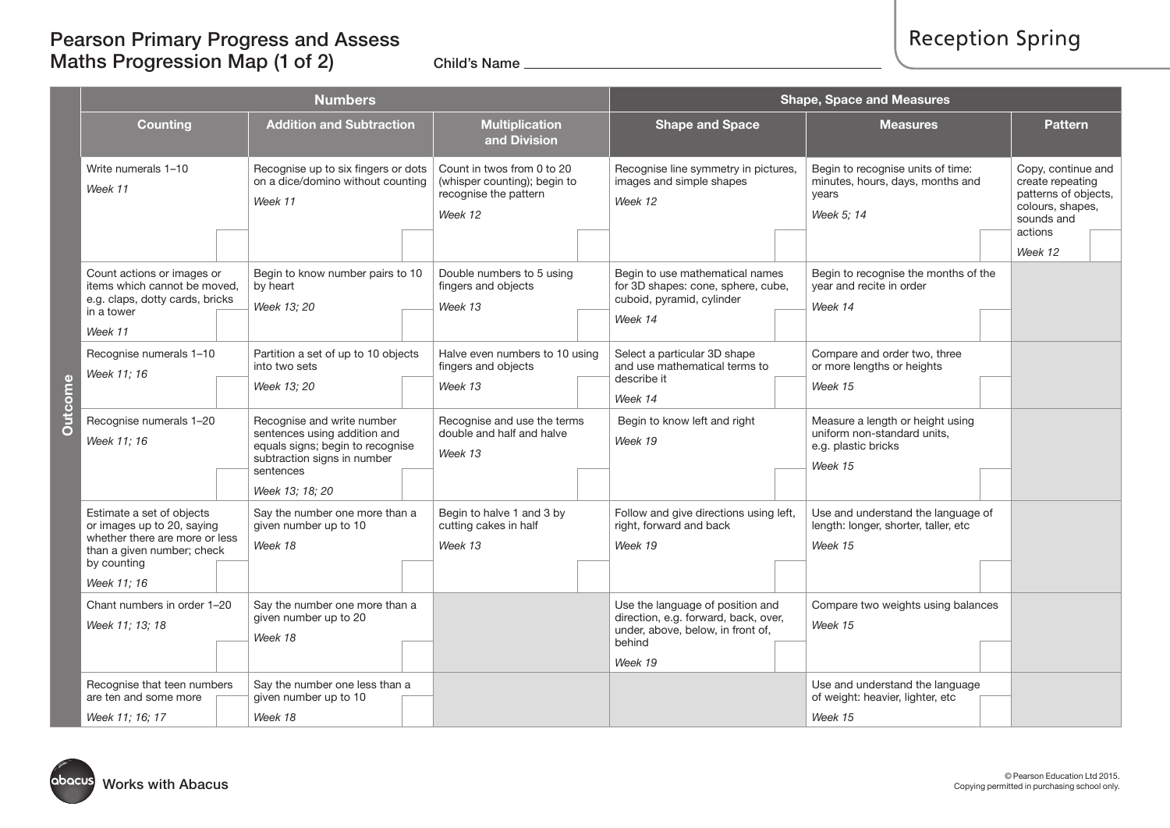# Pearson Primary Progress and Assess Maths Progression Map  $(1$  of 2) Child's Name

| <b>Numbers</b>                                                                                                                                        |  |                                                                                                                                            |  |                                                                                                | <b>Shape, Space and Measures</b> |                                                                                                                                    |                                                                                                   |                                                                                                             |  |
|-------------------------------------------------------------------------------------------------------------------------------------------------------|--|--------------------------------------------------------------------------------------------------------------------------------------------|--|------------------------------------------------------------------------------------------------|----------------------------------|------------------------------------------------------------------------------------------------------------------------------------|---------------------------------------------------------------------------------------------------|-------------------------------------------------------------------------------------------------------------|--|
| <b>Counting</b>                                                                                                                                       |  | <b>Addition and Subtraction</b><br><b>Multiplication</b><br>and Division                                                                   |  | <b>Shape and Space</b>                                                                         | <b>Measures</b>                  | <b>Pattern</b>                                                                                                                     |                                                                                                   |                                                                                                             |  |
| Write numerals 1-10<br>Week 11                                                                                                                        |  | Recognise up to six fingers or dots<br>on a dice/domino without counting<br>Week 11                                                        |  | Count in twos from 0 to 20<br>(whisper counting); begin to<br>recognise the pattern<br>Week 12 |                                  | Recognise line symmetry in pictures,<br>images and simple shapes<br>Week 12                                                        | Begin to recognise units of time:<br>minutes, hours, days, months and<br>vears<br>Week 5; 14      | Copy, continue and<br>create repeating<br>patterns of objects,<br>colours, shapes,<br>sounds and<br>actions |  |
|                                                                                                                                                       |  |                                                                                                                                            |  |                                                                                                |                                  |                                                                                                                                    |                                                                                                   | Week 12                                                                                                     |  |
| Count actions or images or<br>items which cannot be moved,<br>e.g. claps, dotty cards, bricks<br>in a tower<br>Week 11                                |  | Begin to know number pairs to 10<br>by heart<br>Week 13; 20                                                                                |  | Double numbers to 5 using<br>fingers and objects<br>Week 13                                    |                                  | Begin to use mathematical names<br>for 3D shapes: cone, sphere, cube,<br>cuboid, pyramid, cylinder<br>Week 14                      | Begin to recognise the months of the<br>year and recite in order<br>Week 14                       |                                                                                                             |  |
| Recognise numerals 1-10<br>Week 11; 16                                                                                                                |  | Partition a set of up to 10 objects<br>into two sets<br>Week 13; 20                                                                        |  | Halve even numbers to 10 using<br>fingers and objects<br>Week 13                               |                                  | Select a particular 3D shape<br>and use mathematical terms to<br>describe it                                                       | Compare and order two, three<br>or more lengths or heights<br>Week 15                             |                                                                                                             |  |
| Recognise numerals 1-20<br>Week 11; 16                                                                                                                |  | Recognise and write number<br>sentences using addition and<br>equals signs; begin to recognise<br>subtraction signs in number<br>sentences |  | Recognise and use the terms<br>double and half and halve<br>Week 13                            |                                  | Week 14<br>Begin to know left and right<br>Week 19                                                                                 | Measure a length or height using<br>uniform non-standard units,<br>e.g. plastic bricks<br>Week 15 |                                                                                                             |  |
| Estimate a set of objects<br>or images up to 20, saying<br>whether there are more or less<br>than a given number; check<br>by counting<br>Week 11; 16 |  | Week 13; 18; 20<br>Say the number one more than a<br>given number up to 10<br>Week 18                                                      |  | Begin to halve 1 and 3 by<br>cutting cakes in half<br>Week 13                                  |                                  | Follow and give directions using left,<br>right, forward and back<br>Week 19                                                       | Use and understand the language of<br>length: longer, shorter, taller, etc<br>Week 15             |                                                                                                             |  |
| Chant numbers in order 1-20<br>Week 11; 13; 18                                                                                                        |  | Say the number one more than a<br>given number up to 20<br>Week 18                                                                         |  |                                                                                                |                                  | Use the language of position and<br>direction, e.g. forward, back, over,<br>under, above, below, in front of,<br>behind<br>Week 19 | Compare two weights using balances<br>Week 15                                                     |                                                                                                             |  |
| Recognise that teen numbers<br>are ten and some more<br>Week 11; 16; 17                                                                               |  | Say the number one less than a<br>given number up to 10<br>Week 18                                                                         |  |                                                                                                |                                  |                                                                                                                                    | Use and understand the language<br>of weight: heavier, lighter, etc<br>Week 15                    |                                                                                                             |  |

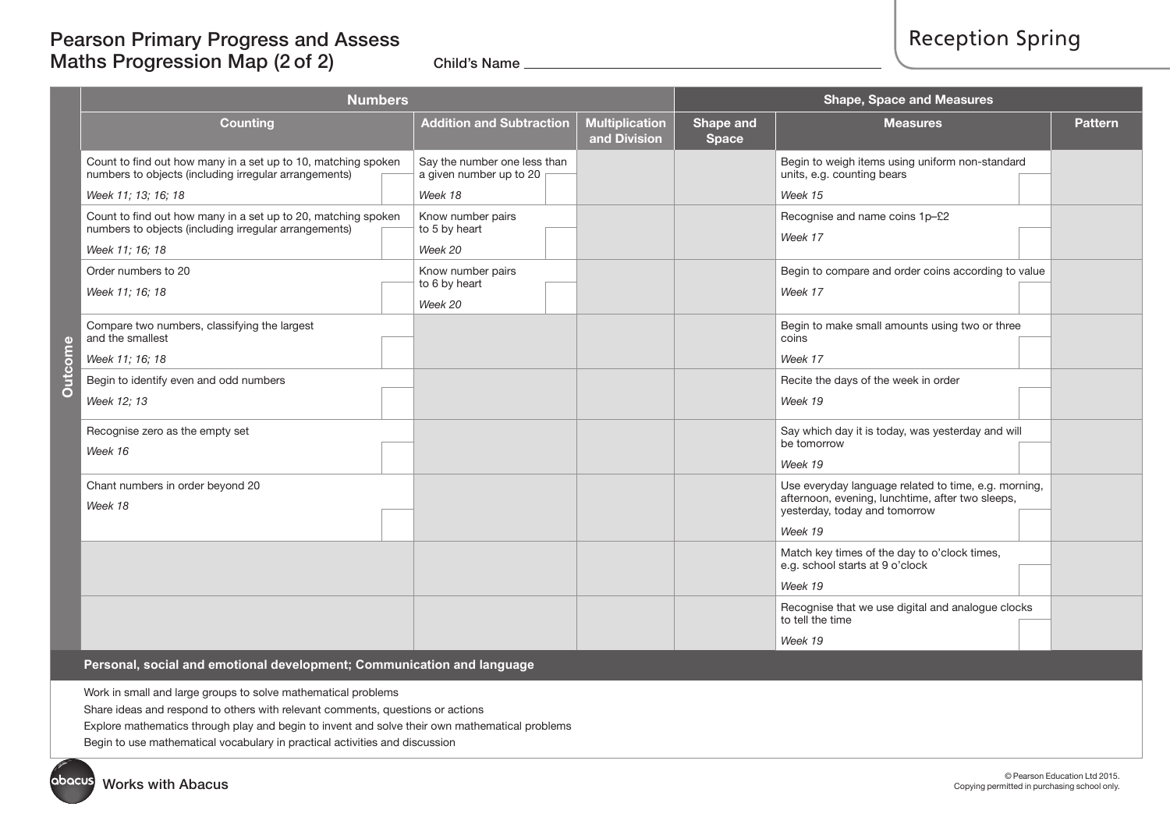### Pearson Primary Progress and Assess Maths Progression Map (2 of 2) Child's Name

|                | <b>Numbers</b>                                                                                                                                |                                                                    | <b>Shape, Space and Measures</b>      |                           |                                                                                                                                                      |                |
|----------------|-----------------------------------------------------------------------------------------------------------------------------------------------|--------------------------------------------------------------------|---------------------------------------|---------------------------|------------------------------------------------------------------------------------------------------------------------------------------------------|----------------|
|                | <b>Counting</b>                                                                                                                               | <b>Addition and Subtraction</b>                                    | <b>Multiplication</b><br>and Division | Shape and<br><b>Space</b> | <b>Measures</b>                                                                                                                                      | <b>Pattern</b> |
|                | Count to find out how many in a set up to 10, matching spoken<br>numbers to objects (including irregular arrangements)<br>Week 11; 13; 16; 18 | Say the number one less than<br>a given number up to 20<br>Week 18 |                                       |                           | Begin to weigh items using uniform non-standard<br>units, e.g. counting bears<br>Week 15                                                             |                |
|                | Count to find out how many in a set up to 20, matching spoken<br>numbers to objects (including irregular arrangements)<br>Week 11; 16; 18     | Know number pairs<br>to 5 by heart<br>Week 20                      |                                       |                           | Recognise and name coins 1p-£2<br>Week 17                                                                                                            |                |
|                | Order numbers to 20<br>Week 11; 16; 18                                                                                                        | Know number pairs<br>to 6 by heart<br>Week 20                      |                                       |                           | Begin to compare and order coins according to value<br>Week 17                                                                                       |                |
|                | Compare two numbers, classifying the largest<br>and the smallest<br>Week 11; 16; 18                                                           |                                                                    |                                       |                           | Begin to make small amounts using two or three<br>coins<br>Week 17                                                                                   |                |
| <b>Outcome</b> | Begin to identify even and odd numbers<br>Week 12; 13                                                                                         |                                                                    |                                       |                           | Recite the days of the week in order<br>Week 19                                                                                                      |                |
|                | Recognise zero as the empty set<br>Week 16                                                                                                    |                                                                    |                                       |                           | Say which day it is today, was yesterday and will<br>be tomorrow<br>Week 19                                                                          |                |
|                | Chant numbers in order beyond 20<br>Week 18                                                                                                   |                                                                    |                                       |                           | Use everyday language related to time, e.g. morning,<br>afternoon, evening, lunchtime, after two sleeps,<br>yesterday, today and tomorrow<br>Week 19 |                |
|                |                                                                                                                                               |                                                                    |                                       |                           | Match key times of the day to o'clock times,<br>e.g. school starts at 9 o'clock<br>Week 19                                                           |                |
|                |                                                                                                                                               |                                                                    |                                       |                           | Recognise that we use digital and analogue clocks<br>to tell the time<br>Week 19                                                                     |                |

**Personal, social and emotional development; Communication and language**

Work in small and large groups to solve mathematical problems

Share ideas and respond to others with relevant comments, questions or actions

Explore mathematics through play and begin to invent and solve their own mathematical problems

Begin to use mathematical vocabulary in practical activities and discussion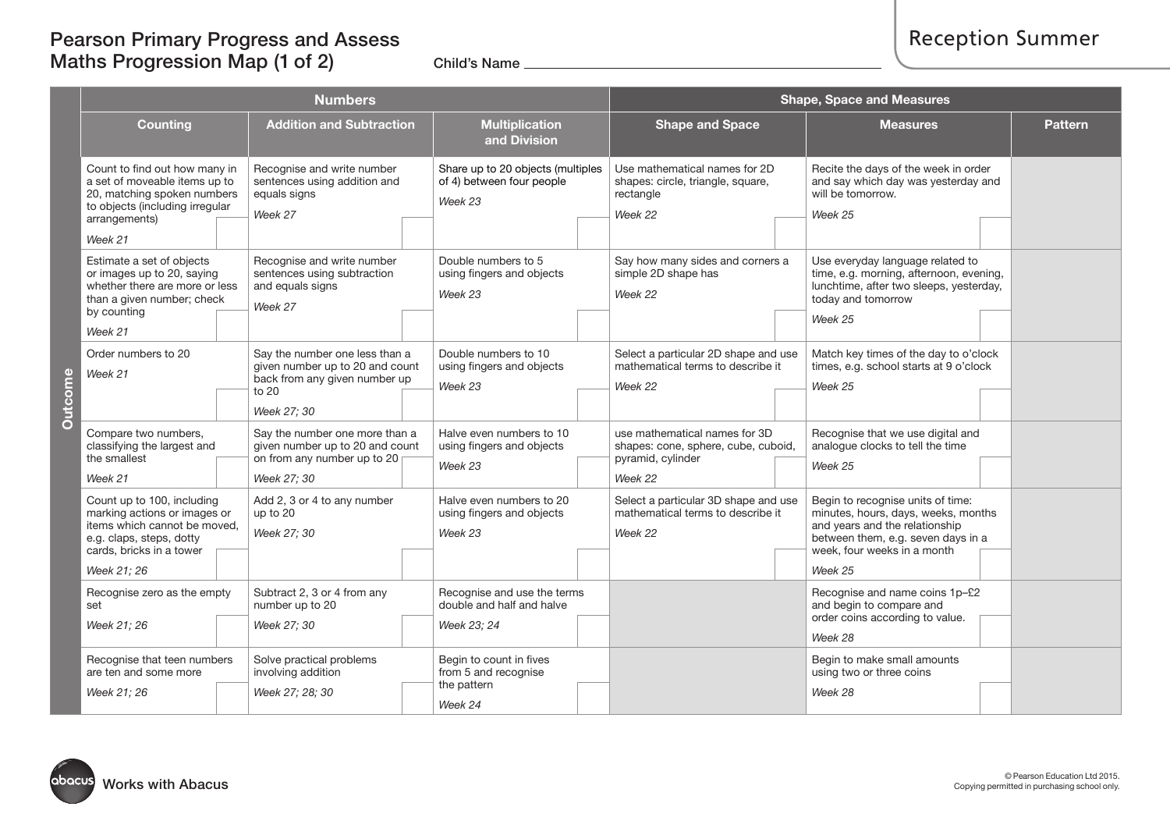# Pearson Primary Progress and Assess Maths Progression Map (1 of 2) Child's Name

|                     | <b>Numbers</b>                                                                                                                                                                                                                             |  |                                                                                                                            |                                                                           |                                                                           |                                                                                            | <b>Shape, Space and Measures</b>                                                                     |                                                                                                             |                                                                                                                                                                                            |                |  |
|---------------------|--------------------------------------------------------------------------------------------------------------------------------------------------------------------------------------------------------------------------------------------|--|----------------------------------------------------------------------------------------------------------------------------|---------------------------------------------------------------------------|---------------------------------------------------------------------------|--------------------------------------------------------------------------------------------|------------------------------------------------------------------------------------------------------|-------------------------------------------------------------------------------------------------------------|--------------------------------------------------------------------------------------------------------------------------------------------------------------------------------------------|----------------|--|
|                     | <b>Counting</b>                                                                                                                                                                                                                            |  | <b>Addition and Subtraction</b>                                                                                            |                                                                           | <b>Multiplication</b><br>and Division                                     |                                                                                            | <b>Shape and Space</b>                                                                               |                                                                                                             | <b>Measures</b>                                                                                                                                                                            | <b>Pattern</b> |  |
|                     | Recognise and write number<br>Count to find out how many in<br>a set of moveable items up to<br>sentences using addition and<br>20, matching spoken numbers<br>equals signs<br>to objects (including irregular<br>Week 27<br>arrangements) |  |                                                                                                                            | Share up to 20 objects (multiples<br>of 4) between four people<br>Week 23 |                                                                           | Use mathematical names for 2D<br>shapes: circle, triangle, square,<br>rectangle<br>Week 22 |                                                                                                      | Recite the days of the week in order<br>and say which day was yesterday and<br>will be tomorrow.<br>Week 25 |                                                                                                                                                                                            |                |  |
|                     | Week 21                                                                                                                                                                                                                                    |  |                                                                                                                            |                                                                           |                                                                           |                                                                                            |                                                                                                      |                                                                                                             |                                                                                                                                                                                            |                |  |
|                     | Estimate a set of objects<br>or images up to 20, saying<br>whether there are more or less<br>than a given number; check<br>by counting                                                                                                     |  | Recognise and write number<br>sentences using subtraction<br>and equals signs<br>Week 27                                   |                                                                           | Double numbers to 5<br>using fingers and objects<br>Week 23               |                                                                                            | Say how many sides and corners a<br>simple 2D shape has<br>Week 22                                   |                                                                                                             | Use everyday language related to<br>time, e.g. morning, afternoon, evening,<br>lunchtime, after two sleeps, yesterday,<br>today and tomorrow                                               |                |  |
|                     | Week 21                                                                                                                                                                                                                                    |  |                                                                                                                            |                                                                           |                                                                           |                                                                                            |                                                                                                      |                                                                                                             | Week 25                                                                                                                                                                                    |                |  |
| come<br><b>Jute</b> | Order numbers to 20<br>Week 21                                                                                                                                                                                                             |  | Say the number one less than a<br>given number up to 20 and count<br>back from any given number up<br>to 20<br>Week 27; 30 |                                                                           | Double numbers to 10<br>using fingers and objects<br>Week 23              |                                                                                            | Select a particular 2D shape and use<br>mathematical terms to describe it<br>Week 22                 |                                                                                                             | Match key times of the day to o'clock<br>times, e.g. school starts at 9 o'clock<br>Week 25                                                                                                 |                |  |
|                     | Compare two numbers,<br>classifying the largest and<br>the smallest<br>Week 21                                                                                                                                                             |  | Say the number one more than a<br>given number up to 20 and count<br>on from any number up to 20<br>Week 27; 30            |                                                                           | Halve even numbers to 10<br>using fingers and objects<br>Week 23          |                                                                                            | use mathematical names for 3D<br>shapes: cone, sphere, cube, cuboid,<br>pyramid, cylinder<br>Week 22 |                                                                                                             | Recognise that we use digital and<br>analogue clocks to tell the time<br>Week 25                                                                                                           |                |  |
|                     | Count up to 100, including<br>marking actions or images or<br>items which cannot be moved,<br>e.g. claps, steps, dotty<br>cards, bricks in a tower<br>Week 21; 26                                                                          |  | Add 2, 3 or 4 to any number<br>up to 20<br>Week 27; 30                                                                     |                                                                           | Halve even numbers to 20<br>using fingers and objects<br>Week 23          |                                                                                            | Select a particular 3D shape and use<br>mathematical terms to describe it<br>Week 22                 |                                                                                                             | Begin to recognise units of time:<br>minutes, hours, days, weeks, months<br>and years and the relationship<br>between them, e.g. seven days in a<br>week, four weeks in a month<br>Week 25 |                |  |
|                     | Recognise zero as the empty<br>set                                                                                                                                                                                                         |  | Subtract 2, 3 or 4 from any<br>number up to 20                                                                             |                                                                           | Recognise and use the terms<br>double and half and halve                  |                                                                                            |                                                                                                      |                                                                                                             | Recognise and name coins 1p-£2<br>and begin to compare and<br>order coins according to value.                                                                                              |                |  |
|                     | Week 21; 26                                                                                                                                                                                                                                |  | Week 27; 30                                                                                                                |                                                                           | Week 23; 24                                                               |                                                                                            |                                                                                                      |                                                                                                             | Week 28                                                                                                                                                                                    |                |  |
|                     | Recognise that teen numbers<br>are ten and some more<br>Week 21; 26                                                                                                                                                                        |  | Solve practical problems<br>involving addition<br>Week 27; 28; 30                                                          |                                                                           | Begin to count in fives<br>from 5 and recognise<br>the pattern<br>Week 24 |                                                                                            |                                                                                                      |                                                                                                             | Begin to make small amounts<br>using two or three coins<br>Week 28                                                                                                                         |                |  |